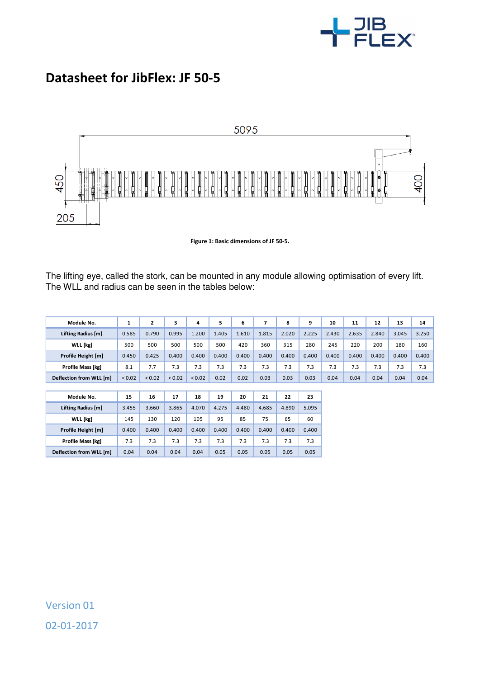

## **Datasheet for JibFlex: JF 50-5**



**Figure 1: Basic dimensions of JF 50-5.** 

The lifting eye, called the stork, can be mounted in any module allowing optimisation of every lift. The WLL and radius can be seen in the tables below:

| Module No.               | 1      | $\mathbf{z}$ | 3      | 4      | 5     | 6     | 7     | 8     | 9     | 10    | 11    | 12    | 13    | 14    |
|--------------------------|--------|--------------|--------|--------|-------|-------|-------|-------|-------|-------|-------|-------|-------|-------|
| Lifting Radius [m]       | 0.585  | 0.790        | 0.995  | 1.200  | 1.405 | 1.610 | 1.815 | 2.020 | 2.225 | 2.430 | 2.635 | 2.840 | 3.045 | 3.250 |
| <b>WLL</b> [kg]          | 500    | 500          | 500    | 500    | 500   | 420   | 360   | 315   | 280   | 245   | 220   | 200   | 180   | 160   |
| Profile Height [m]       | 0.450  | 0.425        | 0.400  | 0.400  | 0.400 | 0.400 | 0.400 | 0.400 | 0.400 | 0.400 | 0.400 | 0.400 | 0.400 | 0.400 |
| <b>Profile Mass [kg]</b> | 8.1    | 7.7          | 7.3    | 7.3    | 7.3   | 7.3   | 7.3   | 7.3   | 7.3   | 7.3   | 7.3   | 7.3   | 7.3   | 7.3   |
| Deflection from WLL [m]  | < 0.02 | < 0.02       | < 0.02 | < 0.02 | 0.02  | 0.02  | 0.03  | 0.03  | 0.03  | 0.04  | 0.04  | 0.04  | 0.04  | 0.04  |
|                          |        |              |        |        |       |       |       |       |       |       |       |       |       |       |
| Module No.               | 15     | 16           | 17     | 18     | 19    | 20    | 21    | 22    | 23    |       |       |       |       |       |
| Lifting Radius [m]       | 3.455  | 3.660        | 3.865  | 4.070  | 4.275 | 4.480 | 4.685 | 4.890 | 5.095 |       |       |       |       |       |
| <b>WLL</b> [kg]          | 145    | 130          | 120    | 105    | 95    | 85    | 75    | 65    | 60    |       |       |       |       |       |
| Profile Height [m]       | 0.400  | 0.400        | 0.400  | 0.400  | 0.400 | 0.400 | 0.400 | 0.400 | 0.400 |       |       |       |       |       |
| Profile Mass [kg]        | 7.3    | 7.3          | 7.3    | 7.3    | 7.3   | 7.3   | 7.3   | 7.3   | 7.3   |       |       |       |       |       |
| Deflection from WLL [m]  | 0.04   | 0.04         | 0.04   | 0.04   | 0.05  | 0.05  | 0.05  | 0.05  | 0.05  |       |       |       |       |       |